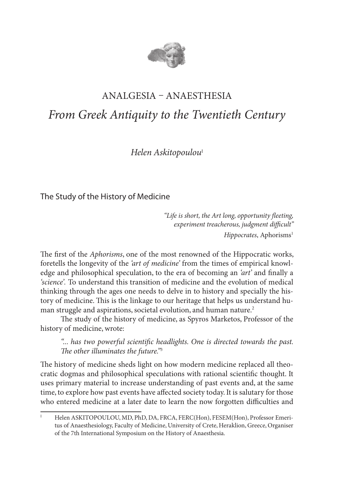

# Analgesia – Anaesthesia *From Greek Antiquity to the Twentieth Century*

*Helen Askitopoulou*<sup>I</sup>

The Study of the History of Medicine

 *"Life is short, the Art long, opportunity fleeting, experiment treacherous, judgment difficult" Hippocrates*, Aphorisms<sup>1</sup>

The first of the *Aphorisms*, one of the most renowned of the Hippocratic works, foretells the longevity of the *'art of medicine'* from the times of empirical knowledge and philosophical speculation, to the era of becoming an *'art'* and finally a *'science'.* To understand this transition of medicine and the evolution of medical thinking through the ages one needs to delve in to history and specially the history of medicine. This is the linkage to our heritage that helps us understand human struggle and aspirations, societal evolution, and human nature.<sup>2</sup>

The study of the history of medicine, as Spyros Marketos, Professor of the history of medicine, wrote:

*"... has two powerful scientific headlights. One is directed towards the past. The other illuminates the future."*<sup>3</sup>

The history of medicine sheds light on how modern medicine replaced all theocratic dogmas and philosophical speculations with rational scientific thought. It uses primary material to increase understanding of past events and, at the same time, to explore how past events have affected society today. It is salutary for those who entered medicine at a later date to learn the now forgotten difficulties and

I Helen ASKITOPOULOU, MD, PhD, DA, FRCA, FERC(Hon), FESEM(Hon), Professor Emeritus of Anaesthesiology, Faculty of Medicine, University of Crete, Heraklion, Greece, Organiser of the 7th International Symposium on the History of Anaesthesia.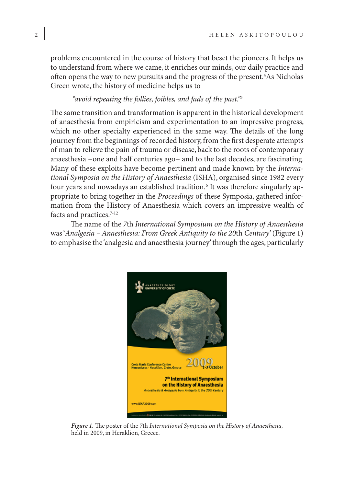problems encountered in the course of history that beset the pioneers. It helps us to understand from where we came, it enriches our minds, our daily practice and often opens the way to new pursuits and the progress of the present.4 As Nicholas Green wrote, the history of medicine helps us to

## *"avoid repeating the follies, foibles, and fads of the past."5*

The same transition and transformation is apparent in the historical development of anaesthesia from empiricism and experimentation to an impressive progress, which no other specialty experienced in the same way. The details of the long journey from the beginnings of recorded history, from the first desperate attempts of man to relieve the pain of trauma or disease, back to the roots of contemporary anaesthesia −one and half centuries ago− and to the last decades, are fascinating. Many of these exploits have become pertinent and made known by the *International Symposia on the History of Anaesthesia* (ISHA), organised since 1982 every four years and nowadays an established tradition*.* <sup>6</sup> It was therefore singularly appropriate to bring together in the *Proceedings* of these Symposia, gathered information from the History of Anaesthesia which covers an impressive wealth of facts and practices.<sup>7-12</sup>

The name of the *7*th *International Symposium on the History of Anaesthesia* was '*Analgesia – Anaesthesia: From Greek Antiquity to the 20*th *Century'* (Figure 1) to emphasise the 'analgesia and anaesthesia journey' through the ages, particularly



*Figure 1.* The poster of the *7*th *International Symposia on the History of Anaesthesia,*  held in 2009, in Heraklion, Greece.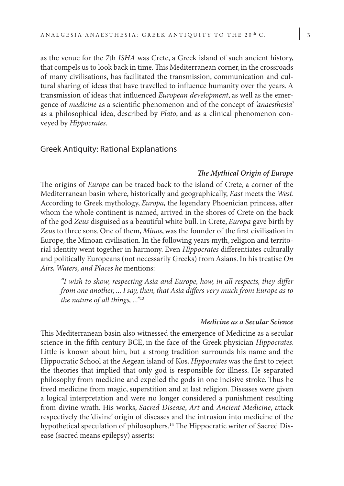as the venue for the *7*th *ISHA* was Crete, a Greek island of such ancient history, that compels us to look back in time. This Mediterranean corner, in the crossroads of many civilisations, has facilitated the transmission, communication and cultural sharing of ideas that have travelled to influence humanity over the years. A transmission of ideas that influenced *European development*, as well as the emergence of *medicine* as a scientific phenomenon and of the concept of *'anaesthesia'* as a philosophical idea, described by *Plato*, and as a clinical phenomenon conveyed by *Hippocrates*.

#### Greek Antiquity: Rational Explanations

## *The Mythical Origin of Europe*

The origins of *Europe* can be traced back to the island of Crete, a corner of the Mediterranean basin where, historically and geographically, *East* meets the *West*. According to Greek mythology, *Europa,* the legendary Phoenician princess, after whom the whole continent is named, arrived in the shores of Crete on the back of the god *Zeus* disguised as a beautiful white bull. In Crete, *Europa* gave birth by *Zeus* to three sons. One of them, *Minos*, was the founder of the first civilisation in Europe, the Minoan civilisation. In the following years myth, religion and territorial identity went together in harmony. Even *Hippocrates* differentiates culturally and politically Europeans (not necessarily Greeks) from Asians. In his treatise *On Airs, Waters, and Places he* mentions:

*"I wish to show, respecting Asia and Europe, how, in all respects, they differ from one another, ... I say, then, that Asia differs very much from Europe as to the nature of all things, ..."*<sup>13</sup>

#### *Medicine as a Secular Science*

This Mediterranean basin also witnessed the emergence of Medicine as a secular science in the fifth century BCE, in the face of the Greek physician *Hippocrates*. Little is known about him, but a strong tradition surrounds his name and the Hippocratic School at the Aegean island of Kos. *Hippocrates* was the first to reject the theories that implied that only god is responsible for illness. He separated philosophy from medicine and expelled the gods in one incisive stroke. Thus he freed medicine from magic, superstition and at last religion. Diseases were given a logical interpretation and were no longer considered a punishment resulting from divine wrath. His works, *Sacred Disease*, *Art* and *Ancient Medicine*, attack respectively the 'divine' origin of diseases and the intrusion into medicine of the hypothetical speculation of philosophers.<sup>14</sup> The Hippocratic writer of Sacred Disease (sacred means epilepsy) asserts: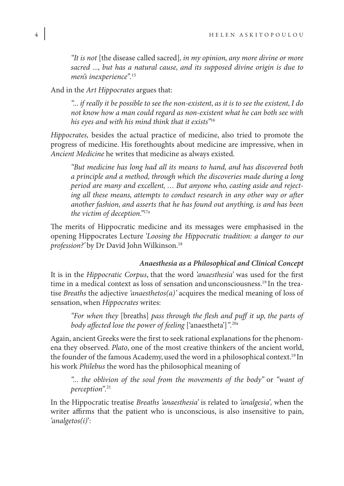*"It is not* [the disease called sacred]*, in my opinion, any more divine or more sacred ..., but has a natural cause, and its supposed divine origin is due to men's inexperience".*<sup>15</sup>

And in the *Art Hippocrates* argues that:

*"... if really it be possible to see the non-existent, as it is to see the existent, I do not know how a man could regard as non-existent what he can both see with his eyes and with his mind think that it exists"*<sup>16</sup>

*Hippocrates,* besides the actual practice of medicine, also tried to promote the progress of medicine. His forethoughts about medicine are impressive, when in *Ancient Medicine* he writes that medicine as always existed.

*"But medicine has long had all its means to hand, and has discovered both a principle and a method, through which the discoveries made during a long period are many and excellent, … But anyone who, casting aside and rejecting all these means, attempts to conduct research in any other way or after another fashion, and asserts that he has found out anything, is and has been the victim of deception."*17a

The merits of Hippocratic medicine and its messages were emphasised in the opening Hippocrates Lecture *'Loοsing the Hippocratic tradition: a danger to our profession?'* by Dr David John Wilkinson.18

#### *Anaesthesia as a Philosophical and Clinical Concept*

It is in the *Hippocratic Corpus*, that the word *'anaesthesia'* was used for the first time in a medical context as loss of sensation and unconsciousness.19 In the treatise *Breaths* the adjective *'anaesthetos(a)'* acquires the medical meaning of loss of sensation, when *Hippocrates* writes:

*"For when they* [breaths] *pass through the flesh and puff it up, the parts of body affected lose the power of feeling* ['anaestheta']*".*20a

Again, ancient Greeks were the first to seek rational explanations for the phenomena they observed. *Plato*, one of the most creative thinkers of the ancient world, the founder of the famous Academy, used the word in a philosophical context.19 In his work *Philebus* the word has the philosophical meaning of

*"... the oblivion of the soul from the movements of the body"* or *"want of perception".*<sup>21</sup>

In the Hippocratic treatise *Breaths 'anaesthesia'* is related to *'analgesia',* when the writer affirms that the patient who is unconscious, is also insensitive to pain, *'analgetos(i)*':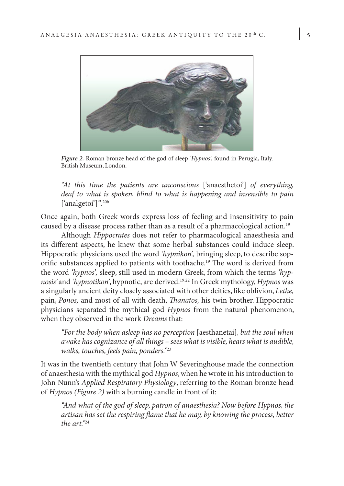

*Figure 2.* Roman bronze head of the god of sleep *'Hypnos',* found in Perugia, Italy. British Museum, London.

*"At this time the patients are unconscious* ['anaesthetoi'] *of everything, deaf to what is spoken, blind to what is happening and insensible to pain*  ['analgetoi']*".*20b

Once again, both Greek words express loss of feeling and insensitivity to pain caused by a disease process rather than as a result of a pharmacological action.19

Although *Hippocrates* does not refer to pharmacological anaesthesia and its different aspects, he knew that some herbal substances could induce sleep. Hippocratic physicians used the word *'hypnikon',* bringing sleep, to describe soporific substances applied to patients with toothache.19 The word is derived from the word *'hypnos',* sleep, still used in modern Greek, from which the terms *'hypnosis'* and *'hypnotikon'*, hypnotic, are derived.19,22 In Greek mythology, *Hypnos* was a singularly ancient deity closely associated with other deities, like oblivion, *Lethe,*  pain, *Ponos,* and most of all with death, *Thanatos,* his twin brother. Hippocratic physicians separated the mythical god *Hypnos* from the natural phenomenon, when they observed in the work *Dreams* that:

*"For the body when asleep has no perception* [aesthanetai]*, but the soul when awake has cognizance of all things – sees what is visible, hears what is audible, walks, touches, feels pain, ponders."*<sup>23</sup>

It was in the twentieth century that John W Severinghouse made the connection of anaesthesia with the mythical god *Hypnos*, when he wrote in his introduction to John Nunn's *Applied Respiratory Physiology*, referring to the Roman bronze head of *Hypnos (Figure 2)* with a burning candle in front of it:

*"And what of the god of sleep, patron of anaesthesia? Now before Hypnos, the artisan has set the respiring flame that he may, by knowing the process, better the art."*<sup>24</sup>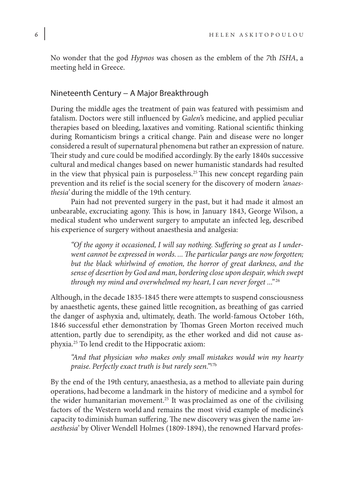No wonder that the god *Hypnos* was chosen as the emblem of the *7*th *ISHA*, a meeting held in Greece.

## Nineteenth Century − A Major Breakthrough

During the middle ages the treatment of pain was featured with pessimism and fatalism. Doctors were still influenced by *Galen*'s medicine, and applied peculiar therapies based on bleeding, laxatives and vomiting. Rational scientific thinking during Romanticism brings a critical change. Pain and disease were no longer considered a result of supernatural phenomena but rather an expression of nature. Their study and cure could be modified accordingly. By the early 1840s successive cultural and medical changes based on newer humanistic standards had resulted in the view that physical pain is purposeless.<sup>25</sup> This new concept regarding pain prevention and its relief is the social scenery for the discovery of modern *'anaesthesia'* during the middle of the 19th century.

Pain had not prevented surgery in the past, but it had made it almost an unbearable, excruciating agony. This is how, in January 1843, George Wilson, a medical student who underwent surgery to amputate an infected leg, described his experience of surgery without anaesthesia and analgesia:

*"Of the agony it occasioned, I will say nothing. Suffering so great as I underwent cannot be expressed in words. ... The particular pangs are now forgotten; but the black whirlwind of emotion, the horror of great darkness, and the sense of desertion by God and man, bordering close upon despair, which swept through my mind and overwhelmed my heart, I can never forget ..."*<sup>26</sup>

Although, in the decade 1835-1845 there were attempts to suspend consciousness by anaesthetic agents, these gained little recognition, as breathing of gas carried the danger of asphyxia and, ultimately, death. The world-famous October 16th, 1846 successful ether demonstration by Thomas Green Morton received much attention, partly due to serendipity, as the ether worked and did not cause asphyxia.25 To lend credit to the Hippocratic axiom:

*"And that physician who makes only small mistakes would win my hearty praise. Perfectly exact truth is but rarely seen."*17b

By the end of the 19th century, anaesthesia, as a method to alleviate pain during operations, had become a landmark in the history of medicine and a symbol for the wider humanitarian movement.25 It was proclaimed as one of the civilising factors of the Western world and remains the most vivid example of medicine's capacity todiminish human suffering. The new discovery was given the name *'anaesthesia'* by Oliver Wendell Holmes (1809-1894), the renowned Harvard profes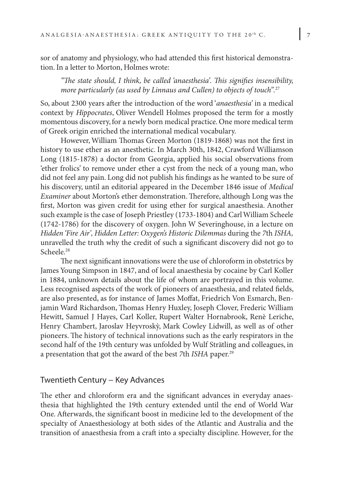sor of anatomy and physiology, who had attended this first historical demonstration. In a letter to Morton, Holmes wrote:

*"The state should, I think, be called 'anaesthesia'. This signifies insensibility, more particularly (as used by Linnaus and Cullen) to objects of touch".*<sup>27</sup>

So, about 2300 years after the introduction of the word '*anaesthesia'* in a medical context by *Hippocrates*, Oliver Wendell Holmes proposed the term for a mostly momentous discovery, for a newly born medical practice. Οne more medical term of Greek origin enriched the international medical vocabulary.

However, William Thomas Green Morton (1819-1868) was not the first in history to use ether as an anesthetic. In March 30th, 1842, Crawford Williamson Long (1815-1878) a doctor from Georgia, applied his social observations from 'ether frolics' to remove under ether a cyst from the neck of a young man, who did not feel any pain. Long did not publish his findings as he wanted to be sure of his discovery, until an editorial appeared in the December 1846 issue of *Medical Examiner* about Morton's ether demonstration. Therefore, although Long was the first, Morton was given credit for using ether for surgical anaesthesia. Another such example is the case of Joseph Priestley (1733-1804) and Carl William Scheele (1742-1786) for the discovery of oxygen. John W Severinghouse, in a lecture on *Hidden 'Fire Air', Hidden Letter: Oxygen's Historic Dilemmas* during the *7*th *ISHA,* unravelled the truth why the credit of such a significant discovery did not go to Scheele<sup>28</sup>

The next significant innovations were the use of chloroform in obstetrics by James Young Simpson in 1847, and of local anaesthesia by cocaine by Carl Koller in 1884, unknown details about the life of whom are portrayed in this volume. Less recognised aspects of the work of pioneers of anaesthesia, and related fields, are also presented, as for instance of James Moffat, Friedrich Von Esmarch, Benjamin Ward Richardson, Thomas Henry Huxley, Joseph Clover, Frederic William Hewitt, Samuel J Hayes, Carl Koller, Rupert Walter Hornabrook, Renè Leriche, Henry Chambert, Jaroslav Heyvroskỳ, Mark Cowley Lidwill, as well as of other pioneers. The history of technical innovations such as the early respirators in the second half of the 19th century was unfolded by Wulf Strätling and colleagues, in a presentation that got the award of the best *7*th *ISHA* paper.29

### Twentieth Century − Key Advances

The ether and chloroform era and the significant advances in everyday anaesthesia that highlighted the 19th century extended until the end of World War One. Afterwards, the significant boost in medicine led to the development of the specialty of Anaesthesiology at both sides of the Atlantic and Australia and the transition of anaesthesia from a craft into a specialty discipline. However, for the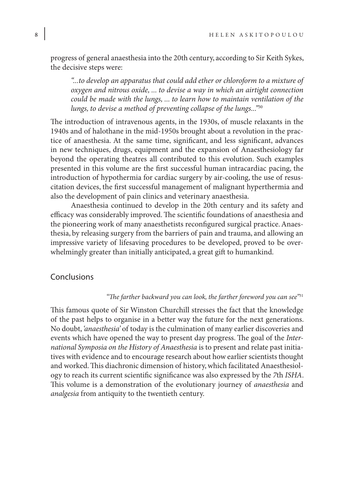progress of general anaesthesia into the 20th century, according to Sir Keith Sykes, the decisive steps were:

*"...to develop an apparatus that could add ether or chloroform to a mixture of oxygen and nitrous oxide, ... to devise a way in which an airtight connection could be made with the lungs, ... to learn how to maintain ventilation of the lungs, to devise a method of preventing collapse of the lungs..."*<sup>30</sup>

The introduction of intravenous agents, in the 1930s, of muscle relaxants in the 1940s and of halothane in the mid-1950s brought about a revolution in the practice of anaesthesia. At the same time, significant, and less significant, advances in new techniques, drugs, equipment and the expansion of Anaesthesiology far beyond the operating theatres all contributed to this evolution. Such examples presented in this volume are the first successful human intracardiac pacing, the introduction of hypothermia for cardiac surgery by air-cooling, the use of resuscitation devices, the first successful management of malignant hyperthermia and also the development of pain clinics and veterinary anaesthesia.

Anaesthesia continued to develop in the 20th century and its safety and efficacy was considerably improved. The scientific foundations of anaesthesia and the pioneering work of many anaesthetists reconfigured surgical practice. Anaesthesia, by releasing surgery from the barriers of pain and trauma, and allowing an impressive variety of lifesaving procedures to be developed, proved to be overwhelmingly greater than initially anticipated, a great gift to humankind.

# Conclusions

#### *"The farther backward you can look, the farther foreword you can see"*<sup>31</sup>

This famous quote of Sir Winston Churchill stresses the fact that the knowledge of the past helps to organise in a better way the future for the next generations. No doubt, *'anaesthesia'* of today is the culmination of many earlier discoveries and events which have opened the way to present day progress. The goal of the *International Symposia on the History of Anaesthesia* is to present and relate past initiatives with evidence and to encourage research about how earlier scientists thought and worked. This diachronic dimension of history, which facilitated Anaesthesiology to reach its current scientific significance was also expressed by the *7*th *ISHA*. This volume is a demonstration of the evolutionary journey of *anaesthesia* and *analgesia* from antiquity to the twentieth century.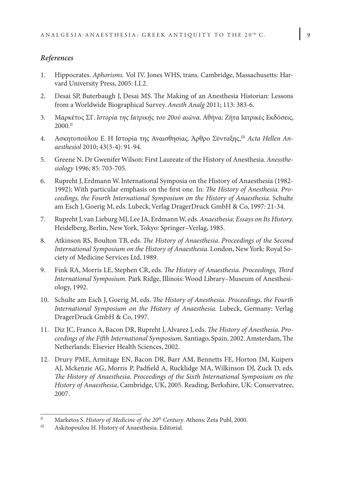# *References*

- 1. Hippocrates. *Aphorisms.* Vol IV. Jones WHS, trans. Cambridge, Massachusetts: Harvard University Press, 2005: Ι.I.2.
- 2. Desai SP, Buterbaugh J, Desai MS. The Making of an Anesthesia Historian: Lessons from a Worldwide Biographical Survey. *Anesth Analg* 2011; 113: 383-6.
- 3. Μαρκέτος ΣΓ. *Ιστορία της Ιατρικής του 20ού αιώνα*. Αθήνα: Ζήτα Ιατρικές Εκδόσεις, 2000.II
- 4. Ασκητοπούλου Ε. Η Ιστορία της Αναισθησίας. Άρθρο Σύνταξης,<sup>III</sup> Acta Hellen An*aesthesiol* 2010; 43(3-4): 91-94.
- 5. Greene N**.** Dr Gwenifer Wilson: First Laureate of the History of Anesthesia. *Anessthesiology* 1996; 85: 703-705.
- 6. Rupreht J, Erdmann W. International Symposia on the History of Anaesthesia (1982- 1992); With particular emphasis on the first one. In: *The History of Anesthesia. Proceedings, the Fourth International Symposium on the History of Anaesthesia.* Schulte am Esch J, Goerig M, eds. Lubeck, Verlag DragerDruck GmbH & Co, 1997: 21-34.
- 7. Rupreht J, van Lieburg MJ, Lee JA, Erdmann W, eds. *Anaesthesia: Essays on Its History.* Heidelberg, Berlin, New York, Tokyo: Springer–Verlag, 1985.
- 8. Atkinson RS, Boulton TB, eds. *The History of Anaesthesia. Proceedings of the Second International Symposium on the History of Anaesthesia*. London, New York: Royal Society of Medicine Services Ltd, 1989.
- 9. Fink RA, Morris LE, Stephen CR, eds. *The History of Anaesthesia. Proceedings, Third International Symposium.* Park Ridge, Illinois: Wood Library–Museum of Anesthesiology, 1992.
- 10. Schulte am Esch J, Goerig M, eds. *The History of Anesthesia. Proceedings, the Fourth International Symposium on the History of Anaesthesia.* Lubeck, Germany: Verlag DragerDruck GmbH & Co, 1997.
- 11. Diz JC, Franco A, Bacon DR, Rupreht J, Alvarez J, eds. *The History of Anesthesia. Proceedings of the Fifth International Symposium,* Santiago, Spain, 2002. Amsterdam, The Netherlands: Elsevier Health Sciences, 2002.
- 12. Drury PME, Armitage EN, Bacon DR, Barr AM, Bennetts FE, Horton JM, Kuipers AJ, Mckenzie AG, Morris P, Padfield A, Rucklidge MA, Wilkinson DJ, Zuck D, eds. *The History of Anaesthesia. Proceedings of the Sixth International Symposium on the History of Anaesthesia*, Cambridge, UK, 2005. Reading, Berkshire, UK: Conservatree, 2007.

II Marketos S. *History of Medicine of the 20<sup>th</sup> Century*. Athens: Zeta Publ, 2000.<br>  $\text{I}^{\text{II}}$  A skitopoulou H. History of Anaesthesia Editorial

Askitopoulou H. History of Anaesthesia. Editorial.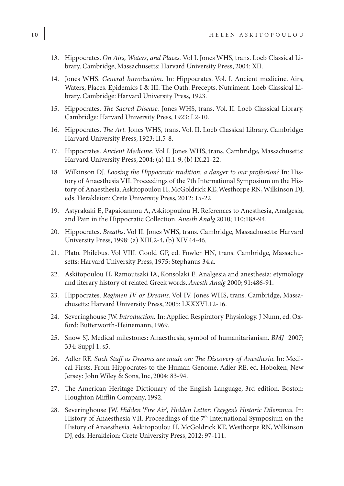- 13. Hippocrates. *On Airs, Waters, and Places.* Vol I. Jones WHS, trans. Loeb Classical Library. Cambridge, Massachusetts: Harvard University Press, 2004: XII.
- 14. Jones WHS. *General Introduction.* In: Hippocrates. Vol. I. Ancient medicine. Airs, Waters, Places. Epidemics I & III. The Oath. Precepts. Nutriment. Loeb Classical Library. Cambridge: Harvard University Press, 1923.
- 15. Hippocrates. *The Sacred Disease.* Jones WHS, trans. Vol. II. Loeb Classical Library. Cambridge: Harvard University Press, 1923: I.2-10.
- 16. Hippocrates. *The Art.* Jones WHS, trans. Vol. II. Loeb Classical Library. Cambridge: Harvard University Press, 1923: II.5-8.
- 17. Hippocrates. *Ancient Medicine*. Vol I. Jones WHS, trans. Cambridge, Massachusetts: Harvard University Press, 2004: (a) II.1-9, (b) IX.21-22.
- 18. Wilkinson DJ. *Loοsing the Hippocratic tradition: a danger to our profession?* In: History of Anaesthesia VII. Proceedings of the 7th International Symposium on the History of Anaesthesia. Askitopoulou H, McGoldrick KE, Westhorpe RN, Wilkinson DJ, eds. Herakleion: Crete University Press, 2012: 15-22
- 19. Astyrakaki E, Papaioannou A, Askitopoulou H. References to Anesthesia, Analgesia, and Pain in the Hippocratic Collection. *Anesth Analg* 2010; 110:188-94.
- 20. Hippocrates. *Breaths*. Vol II. Jones WHS, trans. Cambridge, Massachusetts: Harvard University Press, 1998: (a) XIII.2-4, (b) XIV.44-46.
- 21. Plato. Philebus. Vol VIII. Goold GP, ed. Fowler HN, trans. Cambridge, Massachusetts: Harvard University Press, 1975: Stephanus 34.a.
- 22. Askitopoulou H, Ramoutsaki IA, Konsolaki E. Analgesia and anesthesia: etymology and literary history of related Greek words. *Anesth Analg* 2000; 91:486-91.
- 23. Hippocrates. *Regimen IV or Dreams*. Vol IV. Jones WHS, trans. Cambridge, Massachusetts: Harvard University Press, 2005: LXXXVI.12-16.
- 24. Severinghouse JW. *Introduction.* In: Applied Respiratory Physiology. J Nunn, ed. Oxford: Butterworth-Heinemann, 1969.
- 25. Snow SJ. Medical milestones: Anaesthesia, symbol of humanitarianism. *BMJ* 2007; 334: Suppl 1: s5.
- 26. Adler RE. *Such Stuff as Dreams are made on: The Discovery of Anesthesia*. In: Medical Firsts. From Hippocrates to the Human Genome. Adler RE, ed. Hoboken, New Jersey: John Wiley & Sons, Inc, 2004: 83-94.
- 27. The American Heritage Dictionary of the English Language, 3rd edition. Boston: Houghton Mifflin Company, 1992.
- 28. Severinghouse JW. *Hidden 'Fire Air', Hidden Letter: Oxygen's Historic Dilemmas.* In: History of Anaesthesia VII. Proceedings of the 7<sup>th</sup> International Symposium on the History of Anaesthesia. Askitopoulou H, McGoldrick KE, Westhorpe RN, Wilkinson DJ, eds. Herakleion: Crete University Press, 2012: 97-111.